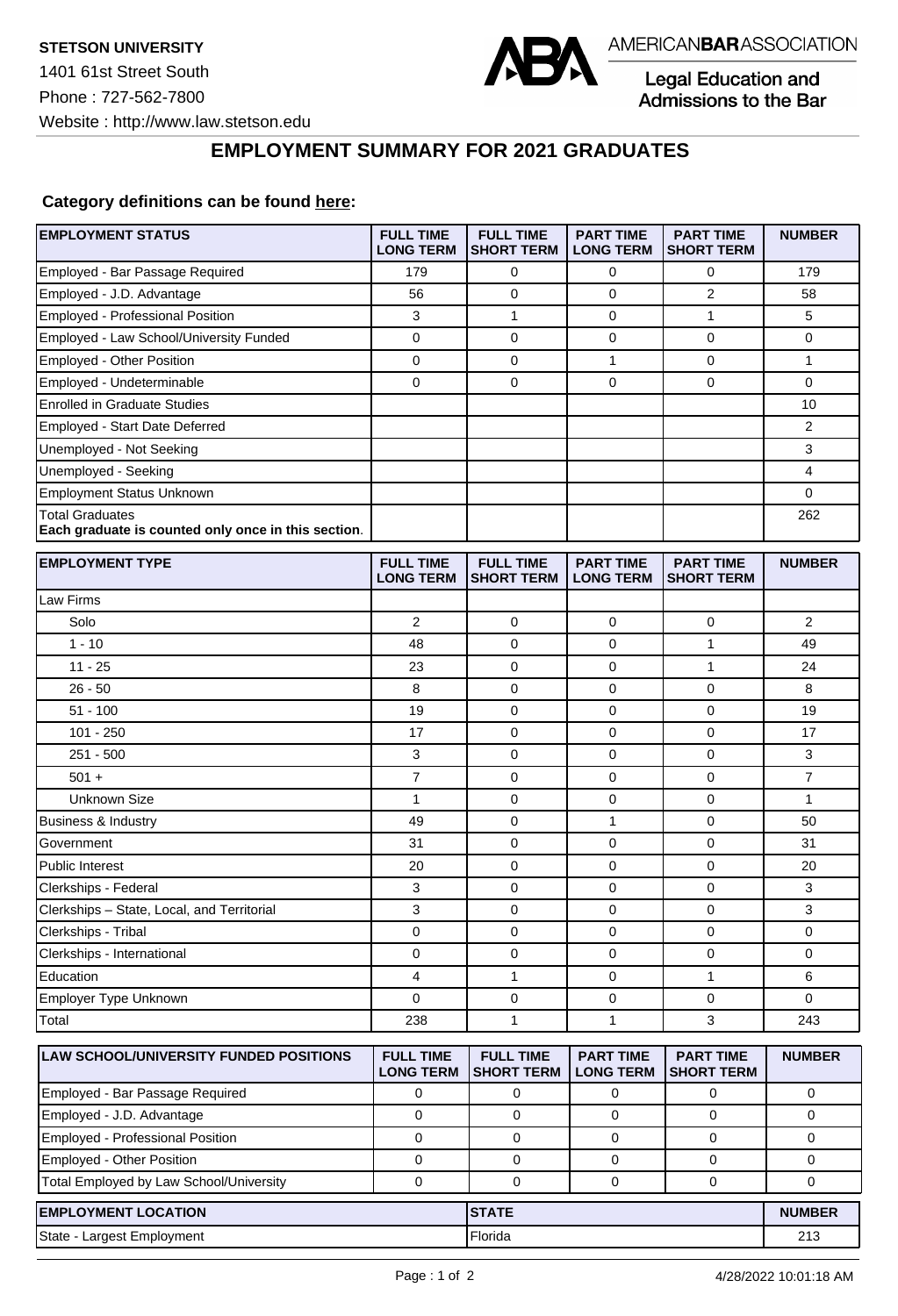

Legal Education and<br>Admissions to the Bar

**EMPLOYMENT SUMMARY FOR 2021 GRADUATES**

## **Category definitions can be found [here:](https://www.americanbar.org/content/dam/aba/administrative/legal_education_and_admissions_to_the_bar/Questionnaires/2021/2022-employment-protocols-for-the-class-of-2021-september-2021.pdf)**

| <b>EMPLOYMENT STATUS</b>                                                      | <b>FULL TIME</b><br><b>LONG TERM</b> | <b>FULL TIME</b><br><b>SHORT TERM</b> | <b>PART TIME</b><br><b>LONG TERM</b> | <b>PART TIME</b><br><b>SHORT TERM</b> | <b>NUMBER</b>  |
|-------------------------------------------------------------------------------|--------------------------------------|---------------------------------------|--------------------------------------|---------------------------------------|----------------|
| Employed - Bar Passage Required                                               | 179                                  | 0                                     | 0                                    | 0                                     | 179            |
| Employed - J.D. Advantage                                                     | 56                                   | 0                                     | 0                                    | $\overline{2}$                        | 58             |
| Employed - Professional Position                                              | 3                                    | $\mathbf{1}$                          | 0                                    | $\mathbf{1}$                          | 5              |
| Employed - Law School/University Funded                                       | $\mathbf 0$                          | 0                                     | 0                                    | $\mathbf 0$                           | 0              |
| Employed - Other Position                                                     | $\mathbf 0$                          | 0                                     | $\mathbf{1}$                         | $\mathbf{0}$                          | $\mathbf{1}$   |
| Employed - Undeterminable                                                     | $\mathbf 0$                          | 0                                     | 0                                    | $\mathbf 0$                           | 0              |
| <b>Enrolled in Graduate Studies</b>                                           |                                      |                                       |                                      |                                       | 10             |
| Employed - Start Date Deferred                                                |                                      |                                       |                                      |                                       | 2              |
| Unemployed - Not Seeking                                                      |                                      |                                       |                                      |                                       | 3              |
| Unemployed - Seeking                                                          |                                      |                                       |                                      |                                       | 4              |
| <b>Employment Status Unknown</b>                                              |                                      |                                       |                                      |                                       | 0              |
| <b>Total Graduates</b><br>Each graduate is counted only once in this section. |                                      |                                       |                                      |                                       | 262            |
| <b>EMPLOYMENT TYPE</b>                                                        | <b>FULL TIME</b><br><b>LONG TERM</b> | <b>FULL TIME</b><br><b>SHORT TERM</b> | <b>PART TIME</b><br><b>LONG TERM</b> | <b>PART TIME</b><br><b>SHORT TERM</b> | <b>NUMBER</b>  |
| Law Firms                                                                     |                                      |                                       |                                      |                                       |                |
| Solo                                                                          | 2                                    | 0                                     | 0                                    | 0                                     | $\overline{2}$ |
| $1 - 10$                                                                      | 48                                   | $\mathbf 0$                           | 0                                    | $\mathbf{1}$                          | 49             |
| $11 - 25$                                                                     | 23                                   | 0                                     | 0                                    | $\mathbf{1}$                          | 24             |
| $26 - 50$                                                                     | 8                                    | $\mathbf 0$                           | $\mathbf 0$                          | $\mathbf 0$                           | 8              |
| $51 - 100$                                                                    | 19                                   | 0                                     | 0                                    | 0                                     | 19             |
| $101 - 250$                                                                   | 17                                   | 0                                     | 0                                    | $\mathbf 0$                           | 17             |
| $251 - 500$                                                                   | 3                                    | 0                                     | 0                                    | $\mathbf 0$                           | 3              |
| $501 +$                                                                       | $\overline{7}$                       | 0                                     | 0                                    | $\mathbf 0$                           | $\overline{7}$ |
| <b>Unknown Size</b>                                                           | $\mathbf{1}$                         | $\mathbf 0$                           | 0                                    | $\mathbf 0$                           | $\mathbf{1}$   |
| Business & Industry                                                           | 49                                   | 0                                     | 1                                    | $\mathbf 0$                           | 50             |
| Government                                                                    | 31                                   | 0                                     | 0                                    | $\mathbf 0$                           | 31             |
| <b>Public Interest</b>                                                        | 20                                   | 0                                     | 0                                    | $\mathbf 0$                           | 20             |
| Clerkships - Federal                                                          | 3                                    | 0                                     | 0                                    | 0                                     | 3              |
| Clerkships - State, Local, and Territorial                                    | 3                                    | 0                                     | 0                                    | 0                                     | 3              |
| Clerkships - Tribal                                                           | 0                                    | 0                                     | 0                                    | $\mathbf 0$                           | 0              |
| Clerkships - International                                                    | 0                                    | 0                                     | 0                                    | 0                                     | 0              |
| Education                                                                     | 4                                    | $\mathbf{1}$                          | 0                                    | $\mathbf{1}$                          | 6              |
| Employer Type Unknown                                                         | $\Omega$                             | 0                                     | 0                                    | $\mathbf 0$                           | 0              |
| Total                                                                         | 238                                  | 1                                     | 1                                    | 3                                     | 243            |
| LAW SCHOOL/UNIVERSITY FUNDED POSITIONS                                        | <b>FULL TIME</b><br><b>LONG TERM</b> | <b>FULL TIME</b><br><b>SHORT TERM</b> | <b>PART TIME</b><br><b>LONG TERM</b> | <b>PART TIME</b><br><b>SHORT TERM</b> | <b>NUMBER</b>  |
| Employed - Bar Passage Required                                               | 0                                    | 0                                     | 0                                    | 0                                     | 0              |
| Employed - J.D. Advantage                                                     | 0                                    | $\mathbf 0$                           | 0                                    | $\mathbf 0$                           | 0              |
| Employed - Professional Position                                              | $\mathbf 0$                          | $\mathbf 0$                           | 0                                    | $\mathbf 0$                           | 0              |
| Employed - Other Position                                                     | $\mathbf 0$                          | 0                                     | 0                                    | 0                                     | $\mathbf 0$    |
| Total Employed by Law School/University                                       | $\pmb{0}$                            | 0                                     | 0                                    | 0                                     | 0              |
| <b>EMPLOYMENT LOCATION</b>                                                    |                                      | <b>STATE</b>                          |                                      |                                       | <b>NUMBER</b>  |
| State - Largest Employment                                                    |                                      | Florida                               |                                      |                                       | 213            |
|                                                                               |                                      |                                       |                                      |                                       |                |